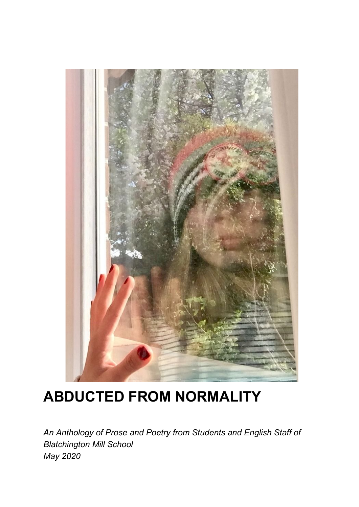

# **ABDUCTED FROM NORMALITY**

*An Anthology of Prose and Poetry from Students and English Staff of Blatchington Mill School May 2020*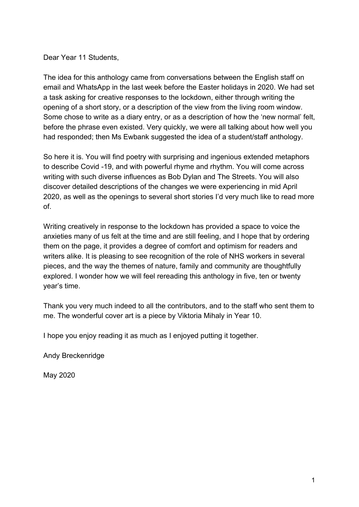Dear Year 11 Students,

The idea for this anthology came from conversations between the English staff on email and WhatsApp in the last week before the Easter holidays in 2020. We had set a task asking for creative responses to the lockdown, either through writing the opening of a short story, or a description of the view from the living room window. Some chose to write as a diary entry, or as a description of how the 'new normal' felt, before the phrase even existed. Very quickly, we were all talking about how well you had responded; then Ms Ewbank suggested the idea of a student/staff anthology.

So here it is. You will find poetry with surprising and ingenious extended metaphors to describe Covid -19, and with powerful rhyme and rhythm. You will come across writing with such diverse influences as Bob Dylan and The Streets. You will also discover detailed descriptions of the changes we were experiencing in mid April 2020, as well as the openings to several short stories I'd very much like to read more of.

Writing creatively in response to the lockdown has provided a space to voice the anxieties many of us felt at the time and are still feeling, and I hope that by ordering them on the page, it provides a degree of comfort and optimism for readers and writers alike. It is pleasing to see recognition of the role of NHS workers in several pieces, and the way the themes of nature, family and community are thoughtfully explored. I wonder how we will feel rereading this anthology in five, ten or twenty year's time.

Thank you very much indeed to all the contributors, and to the staff who sent them to me. The wonderful cover art is a piece by Viktoria Mihaly in Year 10.

I hope you enjoy reading it as much as I enjoyed putting it together.

Andy Breckenridge

May 2020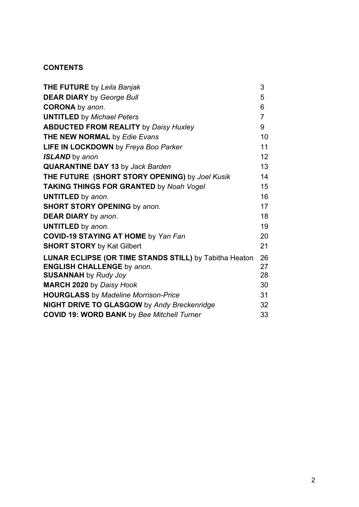# **CONTENTS**

| <b>THE FUTURE</b> by Leila Banjak                             | 3              |
|---------------------------------------------------------------|----------------|
| <b>DEAR DIARY</b> by George Bull                              | 5              |
| <b>CORONA</b> by anon.                                        | 6              |
| <b>UNTITLED</b> by Michael Peters                             | $\overline{7}$ |
| <b>ABDUCTED FROM REALITY by Daisy Huxley</b>                  | 9              |
| THE NEW NORMAL by Edie Evans                                  | 10             |
| <b>LIFE IN LOCKDOWN</b> by Freya Boo Parker                   | 11             |
| <b>ISLAND</b> by anon                                         | 12             |
| <b>QUARANTINE DAY 13 by Jack Barden</b>                       | 13             |
| THE FUTURE (SHORT STORY OPENING) by Joel Kusik                | 14             |
| <b>TAKING THINGS FOR GRANTED by Noah Vogel</b>                | 15             |
| <b>UNTITLED</b> by anon.                                      | 16             |
| <b>SHORT STORY OPENING</b> by anon.                           | 17             |
| <b>DEAR DIARY</b> by anon.                                    | 18             |
| <b>UNTITLED</b> by anon.                                      | 19             |
| <b>COVID-19 STAYING AT HOME by Yan Fan</b>                    | 20             |
| <b>SHORT STORY</b> by Kat Gilbert                             | 21             |
| <b>LUNAR ECLIPSE (OR TIME STANDS STILL) by Tabitha Heaton</b> | 26             |
| <b>ENGLISH CHALLENGE by anon.</b>                             | 27             |
| <b>SUSANNAH by Rudy Joy</b>                                   | 28             |
| <b>MARCH 2020</b> by Daisy Hook                               | 30             |
| <b>HOURGLASS</b> by Madeline Morrison-Price                   | 31             |
| <b>NIGHT DRIVE TO GLASGOW</b> by Andy Breckenridge            | 32             |
| <b>COVID 19: WORD BANK by Bee Mitchell Turner</b>             | 33             |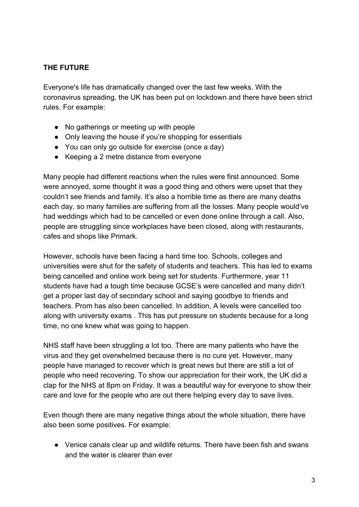# **THE FUTURE**

Everyone's life has dramatically changed over the last few weeks. With the coronavirus spreading, the UK has been put on lockdown and there have been strict rules. For example:

- No gatherings or meeting up with people
- Only leaving the house if you're shopping for essentials
- You can only go outside for exercise (once a day)
- Keeping a 2 metre distance from everyone

Many people had different reactions when the rules were first announced. Some were annoyed, some thought it was a good thing and others were upset that they couldn't see friends and family. It's also a horrible time as there are many deaths each day, so many families are suffering from all the losses. Many people would've had weddings which had to be cancelled or even done online through a call. Also, people are struggling since workplaces have been closed, along with restaurants, cafes and shops like Primark.

However, schools have been facing a hard time too. Schools, colleges and universities were shut for the safety of students and teachers. This has led to exams being cancelled and online work being set for students. Furthermore, year 11 students have had a tough time because GCSE's were cancelled and many didn't get a proper last day of secondary school and saying goodbye to friends and teachers. Prom has also been cancelled. In addition, A levels were cancelled too along with university exams . This has put pressure on students because for a long time, no one knew what was going to happen.

NHS staff have been struggling a lot too. There are many patients who have the virus and they get overwhelmed because there is no cure yet. However, many people have managed to recover which is great news but there are still a lot of people who need recovering. To show our appreciation for their work, the UK did a clap for the NHS at 8pm on Friday. It was a beautiful way for everyone to show their care and love for the people who are out there helping every day to save lives.

Even though there are many negative things about the whole situation, there have also been some positives. For example:

• Venice canals clear up and wildlife returns. There have been fish and swans and the water is clearer than ever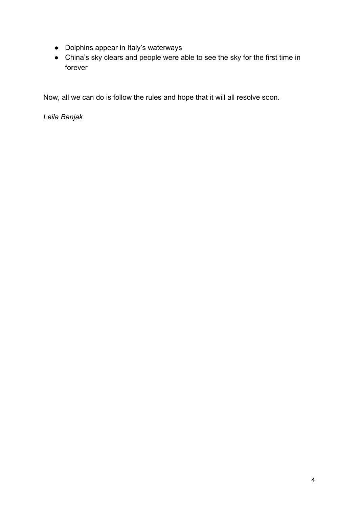- Dolphins appear in Italy's waterways
- China's sky clears and people were able to see the sky for the first time in forever

Now, all we can do is follow the rules and hope that it will all resolve soon.

*Leila Banjak*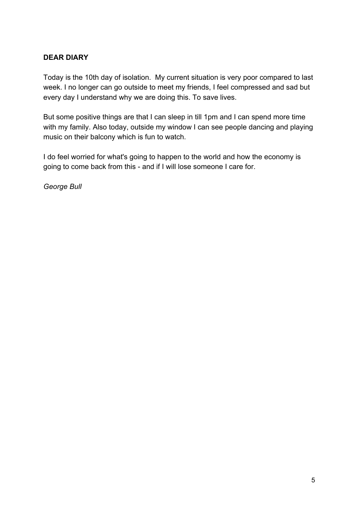# **DEAR DIARY**

Today is the 10th day of isolation. My current situation is very poor compared to last week. I no longer can go outside to meet my friends, I feel compressed and sad but every day I understand why we are doing this. To save lives.

But some positive things are that I can sleep in till 1pm and I can spend more time with my family. Also today, outside my window I can see people dancing and playing music on their balcony which is fun to watch.

I do feel worried for what's going to happen to the world and how the economy is going to come back from this - and if I will lose someone I care for.

*George Bull*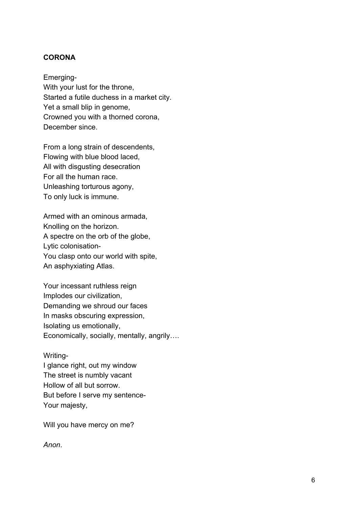#### **CORONA**

Emerging-With your lust for the throne, Started a futile duchess in a market city. Yet a small blip in genome, Crowned you with a thorned corona, December since.

From a long strain of descendents, Flowing with blue blood laced, All with disgusting desecration For all the human race. Unleashing torturous agony, To only luck is immune.

Armed with an ominous armada, Knolling on the horizon. A spectre on the orb of the globe, Lytic colonisation-You clasp onto our world with spite, An asphyxiating Atlas.

Your incessant ruthless reign Implodes our civilization, Demanding we shroud our faces In masks obscuring expression, Isolating us emotionally, Economically, socially, mentally, angrily….

#### Writing-

I glance right, out my window The street is numbly vacant Hollow of all but sorrow. But before I serve my sentence-Your majesty,

Will you have mercy on me?

*Anon*.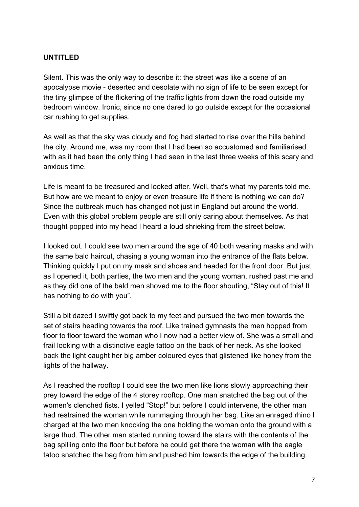## **UNTITLED**

Silent. This was the only way to describe it: the street was like a scene of an apocalypse movie - deserted and desolate with no sign of life to be seen except for the tiny glimpse of the flickering of the traffic lights from down the road outside my bedroom window. Ironic, since no one dared to go outside except for the occasional car rushing to get supplies.

As well as that the sky was cloudy and fog had started to rise over the hills behind the city. Around me, was my room that I had been so accustomed and familiarised with as it had been the only thing I had seen in the last three weeks of this scary and anxious time.

Life is meant to be treasured and looked after. Well, that's what my parents told me. But how are we meant to enjoy or even treasure life if there is nothing we can do? Since the outbreak much has changed not just in England but around the world. Even with this global problem people are still only caring about themselves. As that thought popped into my head I heard a loud shrieking from the street below.

I looked out. I could see two men around the age of 40 both wearing masks and with the same bald haircut, chasing a young woman into the entrance of the flats below. Thinking quickly I put on my mask and shoes and headed for the front door. But just as I opened it, both parties, the two men and the young woman, rushed past me and as they did one of the bald men shoved me to the floor shouting, "Stay out of this! It has nothing to do with you".

Still a bit dazed I swiftly got back to my feet and pursued the two men towards the set of stairs heading towards the roof. Like trained gymnasts the men hopped from floor to floor toward the woman who I now had a better view of. She was a small and frail looking with a distinctive eagle tattoo on the back of her neck. As she looked back the light caught her big amber coloured eyes that glistened like honey from the lights of the hallway.

As I reached the rooftop I could see the two men like lions slowly approaching their prey toward the edge of the 4 storey rooftop. One man snatched the bag out of the women's clenched fists. I yelled "Stop!" but before I could intervene, the other man had restrained the woman while rummaging through her bag. Like an enraged rhino I charged at the two men knocking the one holding the woman onto the ground with a large thud. The other man started running toward the stairs with the contents of the bag spilling onto the floor but before he could get there the woman with the eagle tatoo snatched the bag from him and pushed him towards the edge of the building.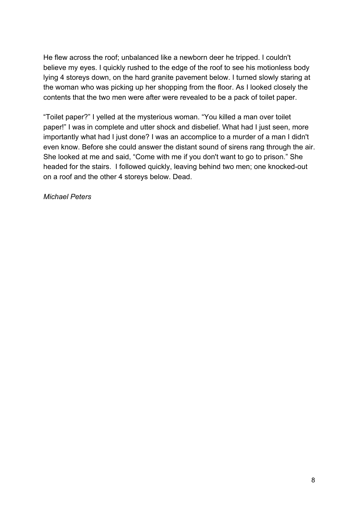He flew across the roof; unbalanced like a newborn deer he tripped. I couldn't believe my eyes. I quickly rushed to the edge of the roof to see his motionless body lying 4 storeys down, on the hard granite pavement below. I turned slowly staring at the woman who was picking up her shopping from the floor. As I looked closely the contents that the two men were after were revealed to be a pack of toilet paper.

"Toilet paper?" I yelled at the mysterious woman. "You killed a man over toilet paper!" I was in complete and utter shock and disbelief. What had I just seen, more importantly what had I just done? I was an accomplice to a murder of a man I didn't even know. Before she could answer the distant sound of sirens rang through the air. She looked at me and said, "Come with me if you don't want to go to prison." She headed for the stairs. I followed quickly, leaving behind two men; one knocked-out on a roof and the other 4 storeys below. Dead.

*Michael Peters*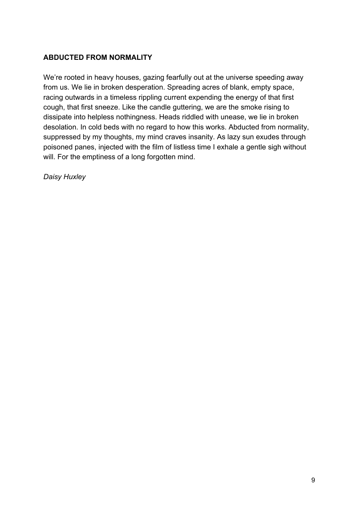# **ABDUCTED FROM NORMALITY**

We're rooted in heavy houses, gazing fearfully out at the universe speeding away from us. We lie in broken desperation. Spreading acres of blank, empty space, racing outwards in a timeless rippling current expending the energy of that first cough, that first sneeze. Like the candle guttering, we are the smoke rising to dissipate into helpless nothingness. Heads riddled with unease, we lie in broken desolation. In cold beds with no regard to how this works. Abducted from normality, suppressed by my thoughts, my mind craves insanity. As lazy sun exudes through poisoned panes, injected with the film of listless time I exhale a gentle sigh without will. For the emptiness of a long forgotten mind.

*Daisy Huxley*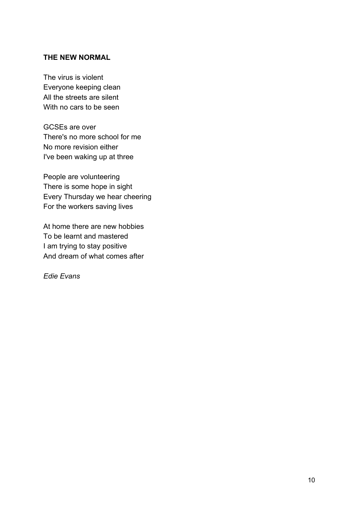## **THE NEW NORMAL**

The virus is violent Everyone keeping clean All the streets are silent With no cars to be seen

GCSEs are over There's no more school for me No more revision either I've been waking up at three

People are volunteering There is some hope in sight Every Thursday we hear cheering For the workers saving lives

At home there are new hobbies To be learnt and mastered I am trying to stay positive And dream of what comes after

*Edie Evans*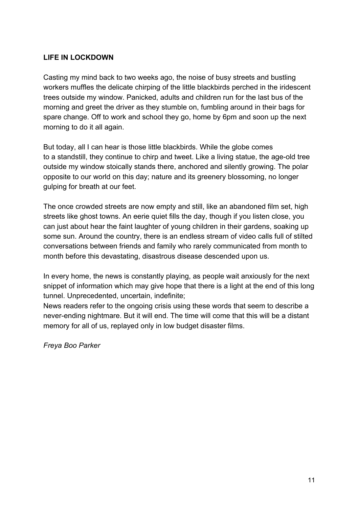## **LIFE IN LOCKDOWN**

Casting my mind back to two weeks ago, the noise of busy streets and bustling workers muffles the delicate chirping of the little blackbirds perched in the iridescent trees outside my window. Panicked, adults and children run for the last bus of the morning and greet the driver as they stumble on, fumbling around in their bags for spare change. Off to work and school they go, home by 6pm and soon up the next morning to do it all again.

But today, all I can hear is those little blackbirds. While the globe comes to a standstill, they continue to chirp and tweet. Like a living statue, the age-old tree outside my window stoically stands there, anchored and silently growing. The polar opposite to our world on this day; nature and its greenery blossoming, no longer gulping for breath at our feet.

The once crowded streets are now empty and still, like an abandoned film set, high streets like ghost towns. An eerie quiet fills the day, though if you listen close, you can just about hear the faint laughter of young children in their gardens, soaking up some sun. Around the country, there is an endless stream of video calls full of stilted conversations between friends and family who rarely communicated from month to month before this devastating, disastrous disease descended upon us.

In every home, the news is constantly playing, as people wait anxiously for the next snippet of information which may give hope that there is a light at the end of this long tunnel. Unprecedented, uncertain, indefinite;

News readers refer to the ongoing crisis using these words that seem to describe a never-ending nightmare. But it will end. The time will come that this will be a distant memory for all of us, replayed only in low budget disaster films.

*Freya Boo Parker*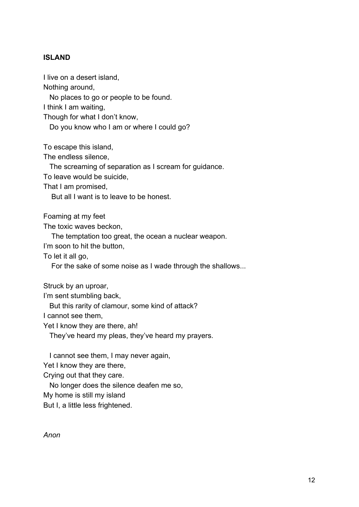## **ISLAND**

I live on a desert island, Nothing around, No places to go or people to be found. I think I am waiting, Though for what I don't know, Do you know who I am or where I could go?

To escape this island,

The endless silence,

The screaming of separation as I scream for guidance.

To leave would be suicide,

That I am promised,

But all I want is to leave to be honest.

Foaming at my feet

The toxic waves beckon,

The temptation too great, the ocean a nuclear weapon.

I'm soon to hit the button,

To let it all go,

For the sake of some noise as I wade through the shallows...

Struck by an uproar,

I'm sent stumbling back,

But this rarity of clamour, some kind of attack?

I cannot see them,

Yet I know they are there, ah!

They've heard my pleas, they've heard my prayers.

I cannot see them, I may never again,

Yet I know they are there,

Crying out that they care.

No longer does the silence deafen me so,

My home is still my island

But I, a little less frightened.

*Anon*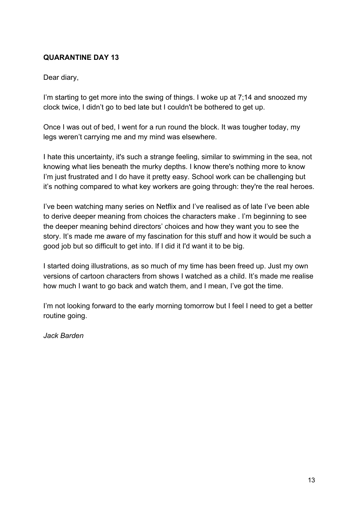## **QUARANTINE DAY 13**

## Dear diary,

I'm starting to get more into the swing of things. I woke up at 7;14 and snoozed my clock twice, I didn't go to bed late but I couldn't be bothered to get up.

Once I was out of bed, I went for a run round the block. It was tougher today, my legs weren't carrying me and my mind was elsewhere.

I hate this uncertainty, it's such a strange feeling, similar to swimming in the sea, not knowing what lies beneath the murky depths. I know there's nothing more to know I'm just frustrated and I do have it pretty easy. School work can be challenging but it's nothing compared to what key workers are going through: they're the real heroes.

I've been watching many series on Netflix and I've realised as of late I've been able to derive deeper meaning from choices the characters make . I'm beginning to see the deeper meaning behind directors' choices and how they want you to see the story. It's made me aware of my fascination for this stuff and how it would be such a good job but so difficult to get into. If I did it I'd want it to be big.

I started doing illustrations, as so much of my time has been freed up. Just my own versions of cartoon characters from shows I watched as a child. It's made me realise how much I want to go back and watch them, and I mean, I've got the time.

I'm not looking forward to the early morning tomorrow but I feel I need to get a better routine going.

*Jack Barden*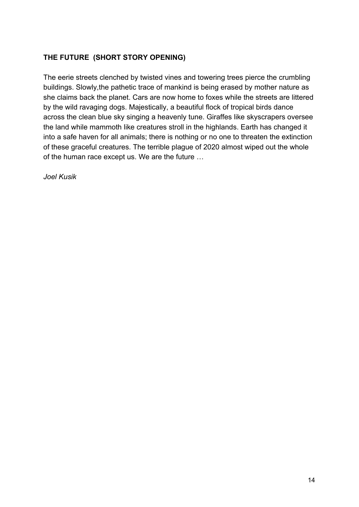# **THE FUTURE (SHORT STORY OPENING)**

The eerie streets clenched by twisted vines and towering trees pierce the crumbling buildings. Slowly,the pathetic trace of mankind is being erased by mother nature as she claims back the planet. Cars are now home to foxes while the streets are littered by the wild ravaging dogs. Majestically, a beautiful flock of tropical birds dance across the clean blue sky singing a heavenly tune. Giraffes like skyscrapers oversee the land while mammoth like creatures stroll in the highlands. Earth has changed it into a safe haven for all animals; there is nothing or no one to threaten the extinction of these graceful creatures. The terrible plague of 2020 almost wiped out the whole of the human race except us. We are the future …

*Joel Kusik*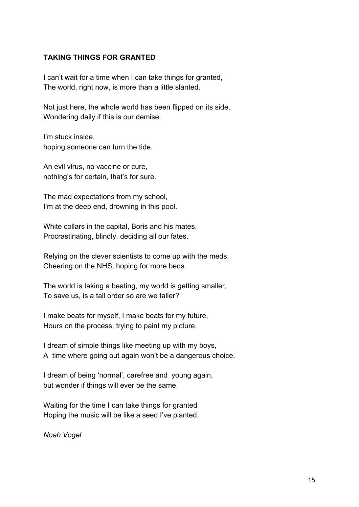#### **TAKING THINGS FOR GRANTED**

I can't wait for a time when I can take things for granted, The world, right now, is more than a little slanted.

Not just here, the whole world has been flipped on its side, Wondering daily if this is our demise.

I'm stuck inside, hoping someone can turn the tide.

An evil virus, no vaccine or cure, nothing's for certain, that's for sure.

The mad expectations from my school, I'm at the deep end, drowning in this pool.

White collars in the capital, Boris and his mates, Procrastinating, blindly, deciding all our fates.

Relying on the clever scientists to come up with the meds, Cheering on the NHS, hoping for more beds.

The world is taking a beating, my world is getting smaller, To save us, is a tall order so are we taller?

I make beats for myself, I make beats for my future, Hours on the process, trying to paint my picture.

I dream of simple things like meeting up with my boys, A time where going out again won't be a dangerous choice.

I dream of being 'normal', carefree and young again, but wonder if things will ever be the same.

Waiting for the time I can take things for granted Hoping the music will be like a seed I've planted.

*Noah Vogel*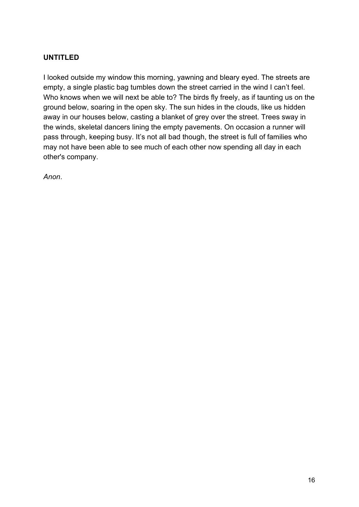## **UNTITLED**

I looked outside my window this morning, yawning and bleary eyed. The streets are empty, a single plastic bag tumbles down the street carried in the wind I can't feel. Who knows when we will next be able to? The birds fly freely, as if taunting us on the ground below, soaring in the open sky. The sun hides in the clouds, like us hidden away in our houses below, casting a blanket of grey over the street. Trees sway in the winds, skeletal dancers lining the empty pavements. On occasion a runner will pass through, keeping busy. It's not all bad though, the street is full of families who may not have been able to see much of each other now spending all day in each other's company.

*Anon*.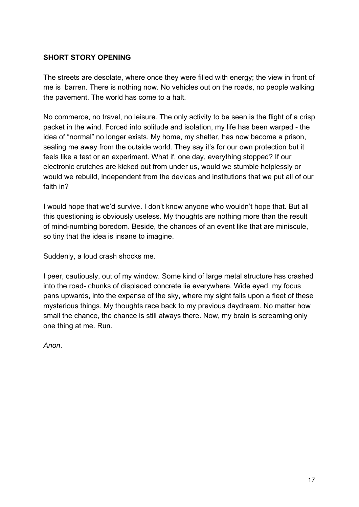## **SHORT STORY OPENING**

The streets are desolate, where once they were filled with energy; the view in front of me is barren. There is nothing now. No vehicles out on the roads, no people walking the pavement. The world has come to a halt.

No commerce, no travel, no leisure. The only activity to be seen is the flight of a crisp packet in the wind. Forced into solitude and isolation, my life has been warped - the idea of "normal" no longer exists. My home, my shelter, has now become a prison, sealing me away from the outside world. They say it's for our own protection but it feels like a test or an experiment. What if, one day, everything stopped? If our electronic crutches are kicked out from under us, would we stumble helplessly or would we rebuild, independent from the devices and institutions that we put all of our faith in?

I would hope that we'd survive. I don't know anyone who wouldn't hope that. But all this questioning is obviously useless. My thoughts are nothing more than the result of mind-numbing boredom. Beside, the chances of an event like that are miniscule, so tiny that the idea is insane to imagine.

Suddenly, a loud crash shocks me.

I peer, cautiously, out of my window. Some kind of large metal structure has crashed into the road- chunks of displaced concrete lie everywhere. Wide eyed, my focus pans upwards, into the expanse of the sky, where my sight falls upon a fleet of these mysterious things. My thoughts race back to my previous daydream. No matter how small the chance, the chance is still always there. Now, my brain is screaming only one thing at me. Run.

*Anon*.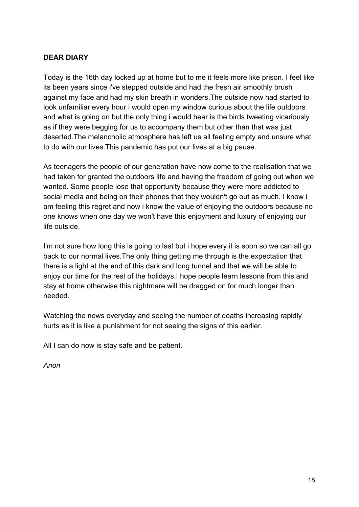## **DEAR DIARY**

Today is the 16th day locked up at home but to me it feels more like prison. I feel like its been years since i've stepped outside and had the fresh air smoothly brush against my face and had my skin breath in wonders.The outside now had started to look unfamiliar every hour i would open my window curious about the life outdoors and what is going on but the only thing i would hear is the birds tweeting vicariously as if they were begging for us to accompany them but other than that was just deserted.The melancholic atmosphere has left us all feeling empty and unsure what to do with our lives.This pandemic has put our lives at a big pause.

As teenagers the people of our generation have now come to the realisation that we had taken for granted the outdoors life and having the freedom of going out when we wanted. Some people lose that opportunity because they were more addicted to social media and being on their phones that they wouldn't go out as much. I know i am feeling this regret and now i know the value of enjoying the outdoors because no one knows when one day we won't have this enjoyment and luxury of enjoying our life outside.

I'm not sure how long this is going to last but i hope every it is soon so we can all go back to our normal lives.The only thing getting me through is the expectation that there is a light at the end of this dark and long tunnel and that we will be able to enjoy our time for the rest of the holidays.I hope people learn lessons from this and stay at home otherwise this nightmare will be dragged on for much longer than needed.

Watching the news everyday and seeing the number of deaths increasing rapidly hurts as it is like a punishment for not seeing the signs of this earlier.

All I can do now is stay safe and be patient.

*Anon*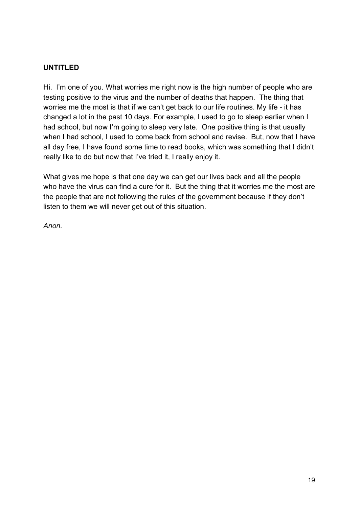## **UNTITLED**

Hi. I'm one of you. What worries me right now is the high number of people who are testing positive to the virus and the number of deaths that happen. The thing that worries me the most is that if we can't get back to our life routines. My life - it has changed a lot in the past 10 days. For example, I used to go to sleep earlier when I had school, but now I'm going to sleep very late. One positive thing is that usually when I had school, I used to come back from school and revise. But, now that I have all day free, I have found some time to read books, which was something that I didn't really like to do but now that I've tried it, I really enjoy it.

What gives me hope is that one day we can get our lives back and all the people who have the virus can find a cure for it. But the thing that it worries me the most are the people that are not following the rules of the government because if they don't listen to them we will never get out of this situation.

*Anon.*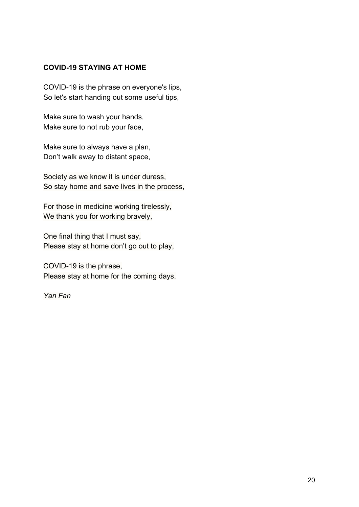## **COVID-19 STAYING AT HOME**

COVID-19 is the phrase on everyone's lips, So let's start handing out some useful tips,

Make sure to wash your hands, Make sure to not rub your face,

Make sure to always have a plan, Don't walk away to distant space,

Society as we know it is under duress, So stay home and save lives in the process,

For those in medicine working tirelessly, We thank you for working bravely,

One final thing that I must say, Please stay at home don't go out to play,

COVID-19 is the phrase, Please stay at home for the coming days.

*Yan Fan*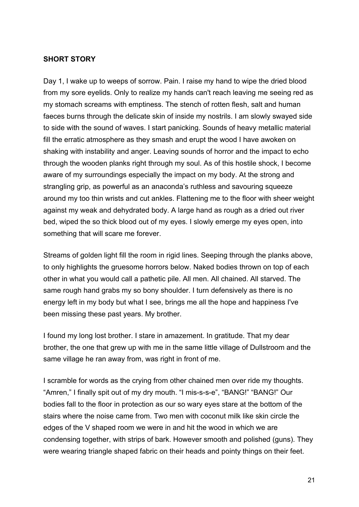#### **SHORT STORY**

Day 1, I wake up to weeps of sorrow. Pain. I raise my hand to wipe the dried blood from my sore eyelids. Only to realize my hands can't reach leaving me seeing red as my stomach screams with emptiness. The stench of rotten flesh, salt and human faeces burns through the delicate skin of inside my nostrils. I am slowly swayed side to side with the sound of waves. I start panicking. Sounds of heavy metallic material fill the erratic atmosphere as they smash and erupt the wood I have awoken on shaking with instability and anger. Leaving sounds of horror and the impact to echo through the wooden planks right through my soul. As of this hostile shock, I become aware of my surroundings especially the impact on my body. At the strong and strangling grip, as powerful as an anaconda's ruthless and savouring squeeze around my too thin wrists and cut ankles. Flattening me to the floor with sheer weight against my weak and dehydrated body. A large hand as rough as a dried out river bed, wiped the so thick blood out of my eyes. I slowly emerge my eyes open, into something that will scare me forever.

Streams of golden light fill the room in rigid lines. Seeping through the planks above, to only highlights the gruesome horrors below. Naked bodies thrown on top of each other in what you would call a pathetic pile. All men. All chained. All starved. The same rough hand grabs my so bony shoulder. I turn defensively as there is no energy left in my body but what I see, brings me all the hope and happiness I've been missing these past years. My brother.

I found my long lost brother. I stare in amazement. In gratitude. That my dear brother, the one that grew up with me in the same little village of Dullstroom and the same village he ran away from, was right in front of me.

I scramble for words as the crying from other chained men over ride my thoughts. "Amren," I finally spit out of my dry mouth. "I mis-s-s-e", "BANG!" "BANG!" Our bodies fall to the floor in protection as our so wary eyes stare at the bottom of the stairs where the noise came from. Two men with coconut milk like skin circle the edges of the V shaped room we were in and hit the wood in which we are condensing together, with strips of bark. However smooth and polished (guns). They were wearing triangle shaped fabric on their heads and pointy things on their feet.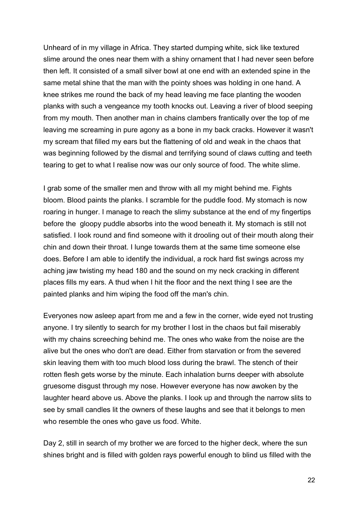Unheard of in my village in Africa. They started dumping white, sick like textured slime around the ones near them with a shiny ornament that I had never seen before then left. It consisted of a small silver bowl at one end with an extended spine in the same metal shine that the man with the pointy shoes was holding in one hand. A knee strikes me round the back of my head leaving me face planting the wooden planks with such a vengeance my tooth knocks out. Leaving a river of blood seeping from my mouth. Then another man in chains clambers frantically over the top of me leaving me screaming in pure agony as a bone in my back cracks. However it wasn't my scream that filled my ears but the flattening of old and weak in the chaos that was beginning followed by the dismal and terrifying sound of claws cutting and teeth tearing to get to what I realise now was our only source of food. The white slime.

I grab some of the smaller men and throw with all my might behind me. Fights bloom. Blood paints the planks. I scramble for the puddle food. My stomach is now roaring in hunger. I manage to reach the slimy substance at the end of my fingertips before the gloopy puddle absorbs into the wood beneath it. My stomach is still not satisfied. I look round and find someone with it drooling out of their mouth along their chin and down their throat. I lunge towards them at the same time someone else does. Before I am able to identify the individual, a rock hard fist swings across my aching jaw twisting my head 180 and the sound on my neck cracking in different places fills my ears. A thud when I hit the floor and the next thing I see are the painted planks and him wiping the food off the man's chin.

Everyones now asleep apart from me and a few in the corner, wide eyed not trusting anyone. I try silently to search for my brother I lost in the chaos but fail miserably with my chains screeching behind me. The ones who wake from the noise are the alive but the ones who don't are dead. Either from starvation or from the severed skin leaving them with too much blood loss during the brawl. The stench of their rotten flesh gets worse by the minute. Each inhalation burns deeper with absolute gruesome disgust through my nose. However everyone has now awoken by the laughter heard above us. Above the planks. I look up and through the narrow slits to see by small candles lit the owners of these laughs and see that it belongs to men who resemble the ones who gave us food. White.

Day 2, still in search of my brother we are forced to the higher deck, where the sun shines bright and is filled with golden rays powerful enough to blind us filled with the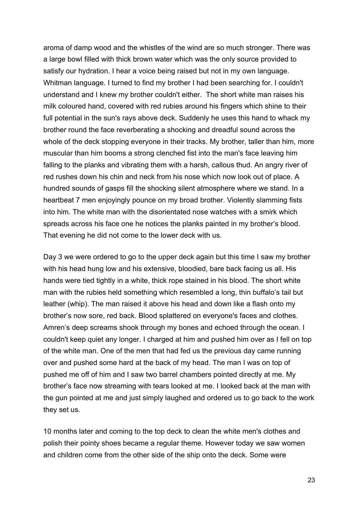aroma of damp wood and the whistles of the wind are so much stronger. There was a large bowl filled with thick brown water which was the only source provided to satisfy our hydration. I hear a voice being raised but not in my own language. Whitman language. I turned to find my brother I had been searching for. I couldn't understand and I knew my brother couldn't either. The short white man raises his milk coloured hand, covered with red rubies around his fingers which shine to their full potential in the sun's rays above deck. Suddenly he uses this hand to whack my brother round the face reverberating a shocking and dreadful sound across the whole of the deck stopping everyone in their tracks. My brother, taller than him, more muscular than him booms a strong clenched fist into the man's face leaving him falling to the planks and vibrating them with a harsh, callous thud. An angry river of red rushes down his chin and neck from his nose which now look out of place. A hundred sounds of gasps fill the shocking silent atmosphere where we stand. In a heartbeat 7 men enjoyingly pounce on my broad brother. Violently slamming fists into him. The white man with the disorientated nose watches with a smirk which spreads across his face one he notices the planks painted in my brother's blood. That evening he did not come to the lower deck with us.

Day 3 we were ordered to go to the upper deck again but this time I saw my brother with his head hung low and his extensive, bloodied, bare back facing us all. His hands were tied tightly in a white, thick rope stained in his blood. The short white man with the rubies held something which resembled a long, thin buffalo's tail but leather (whip). The man raised it above his head and down like a flash onto my brother's now sore, red back. Blood splattered on everyone's faces and clothes. Amren's deep screams shook through my bones and echoed through the ocean. I couldn't keep quiet any longer. I charged at him and pushed him over as I fell on top of the white man. One of the men that had fed us the previous day came running over and pushed some hard at the back of my head. The man I was on top of pushed me off of him and I saw two barrel chambers pointed directly at me. My brother's face now streaming with tears looked at me. I looked back at the man with the gun pointed at me and just simply laughed and ordered us to go back to the work they set us.

10 months later and coming to the top deck to clean the white men's clothes and polish their pointy shoes became a regular theme. However today we saw women and children come from the other side of the ship onto the deck. Some were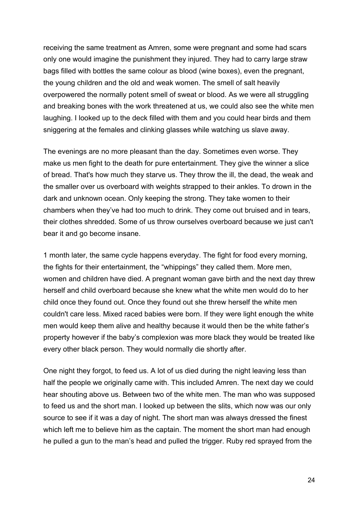receiving the same treatment as Amren, some were pregnant and some had scars only one would imagine the punishment they injured. They had to carry large straw bags filled with bottles the same colour as blood (wine boxes), even the pregnant, the young children and the old and weak women. The smell of salt heavily overpowered the normally potent smell of sweat or blood. As we were all struggling and breaking bones with the work threatened at us, we could also see the white men laughing. I looked up to the deck filled with them and you could hear birds and them sniggering at the females and clinking glasses while watching us slave away.

The evenings are no more pleasant than the day. Sometimes even worse. They make us men fight to the death for pure entertainment. They give the winner a slice of bread. That's how much they starve us. They throw the ill, the dead, the weak and the smaller over us overboard with weights strapped to their ankles. To drown in the dark and unknown ocean. Only keeping the strong. They take women to their chambers when they've had too much to drink. They come out bruised and in tears, their clothes shredded. Some of us throw ourselves overboard because we just can't bear it and go become insane.

1 month later, the same cycle happens everyday. The fight for food every morning, the fights for their entertainment, the "whippings" they called them. More men, women and children have died. A pregnant woman gave birth and the next day threw herself and child overboard because she knew what the white men would do to her child once they found out. Once they found out she threw herself the white men couldn't care less. Mixed raced babies were born. If they were light enough the white men would keep them alive and healthy because it would then be the white father's property however if the baby's complexion was more black they would be treated like every other black person. They would normally die shortly after.

One night they forgot, to feed us. A lot of us died during the night leaving less than half the people we originally came with. This included Amren. The next day we could hear shouting above us. Between two of the white men. The man who was supposed to feed us and the short man. I looked up between the slits, which now was our only source to see if it was a day of night. The short man was always dressed the finest which left me to believe him as the captain. The moment the short man had enough he pulled a gun to the man's head and pulled the trigger. Ruby red sprayed from the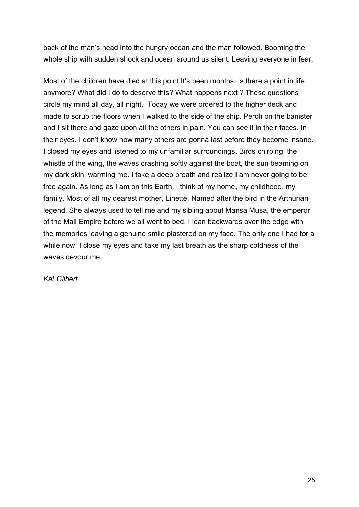back of the man's head into the hungry ocean and the man followed. Booming the whole ship with sudden shock and ocean around us silent. Leaving everyone in fear.

Most of the children have died at this point.It's been months. Is there a point in life anymore? What did I do to deserve this? What happens next ? These questions circle my mind all day, all night. Today we were ordered to the higher deck and made to scrub the floors when I walked to the side of the ship. Perch on the banister and I sit there and gaze upon all the others in pain. You can see it in their faces. In their eyes. I don't know how many others are gonna last before they become insane. I closed my eyes and listened to my unfamiliar surroundings. Birds chirping, the whistle of the wing, the waves crashing softly against the boat, the sun beaming on my dark skin, warming me. I take a deep breath and realize I am never going to be free again. As long as I am on this Earth. I think of my home, my childhood, my family. Most of all my dearest mother, Linette. Named after the bird in the Arthurian legend. She always used to tell me and my sibling about Mansa Musa, the emperor of the Mali Empire before we all went to bed. I lean backwards over the edge with the memories leaving a genuine smile plastered on my face. The only one I had for a while now. I close my eyes and take my last breath as the sharp coldness of the waves devour me.

*Kat Gilbert*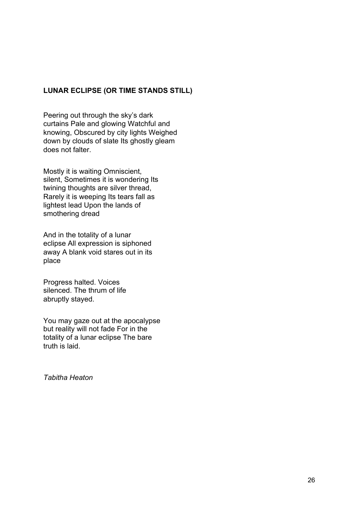#### **LUNAR ECLIPSE (OR TIME STANDS STILL)**

Peering out through the sky's dark curtains Pale and glowing Watchful and knowing, Obscured by city lights Weighed down by clouds of slate Its ghostly gleam does not falter.

Mostly it is waiting Omniscient, silent, Sometimes it is wondering Its twining thoughts are silver thread, Rarely it is weeping Its tears fall as lightest lead Upon the lands of smothering dread

And in the totality of a lunar eclipse All expression is siphoned away A blank void stares out in its place

Progress halted. Voices silenced. The thrum of life abruptly stayed.

You may gaze out at the apocalypse but reality will not fade For in the totality of a lunar eclipse The bare truth is laid.

*Tabitha Heaton*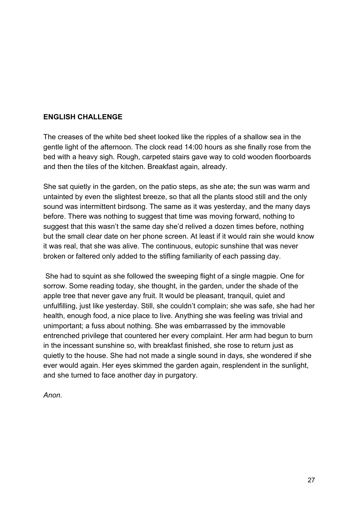## **ENGLISH CHALLENGE**

The creases of the white bed sheet looked like the ripples of a shallow sea in the gentle light of the afternoon. The clock read 14:00 hours as she finally rose from the bed with a heavy sigh. Rough, carpeted stairs gave way to cold wooden floorboards and then the tiles of the kitchen. Breakfast again, already.

She sat quietly in the garden, on the patio steps, as she ate; the sun was warm and untainted by even the slightest breeze, so that all the plants stood still and the only sound was intermittent birdsong. The same as it was yesterday, and the many days before. There was nothing to suggest that time was moving forward, nothing to suggest that this wasn't the same day she'd relived a dozen times before, nothing but the small clear date on her phone screen. At least if it would rain she would know it was real, that she was alive. The continuous, eutopic sunshine that was never broken or faltered only added to the stifling familiarity of each passing day.

 She had to squint as she followed the sweeping flight of a single magpie. One for sorrow. Some reading today, she thought, in the garden, under the shade of the apple tree that never gave any fruit. It would be pleasant, tranquil, quiet and unfulfilling, just like yesterday. Still, she couldn't complain; she was safe, she had her health, enough food, a nice place to live. Anything she was feeling was trivial and unimportant; a fuss about nothing. She was embarrassed by the immovable entrenched privilege that countered her every complaint. Her arm had begun to burn in the incessant sunshine so, with breakfast finished, she rose to return just as quietly to the house. She had not made a single sound in days, she wondered if she ever would again. Her eyes skimmed the garden again, resplendent in the sunlight, and she turned to face another day in purgatory.

*Anon.*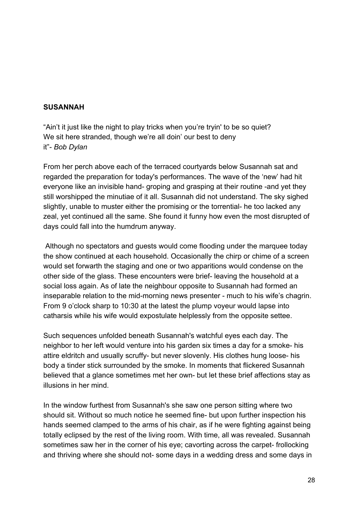#### **SUSANNAH**

"Ain't it just like the night to play tricks when you're tryin' to be so quiet? We sit here stranded, though we're all doin' our best to deny it"- *Bob Dylan*

From her perch above each of the terraced courtyards below Susannah sat and regarded the preparation for today's performances. The wave of the 'new' had hit everyone like an invisible hand- groping and grasping at their routine -and yet they still worshipped the minutiae of it all. Susannah did not understand. The sky sighed slightly, unable to muster either the promising or the torrential- he too lacked any zeal, yet continued all the same. She found it funny how even the most disrupted of days could fall into the humdrum anyway.

 Although no spectators and guests would come flooding under the marquee today the show continued at each household. Occasionally the chirp or chime of a screen would set forwarth the staging and one or two apparitions would condense on the other side of the glass. These encounters were brief- leaving the household at a social loss again. As of late the neighbour opposite to Susannah had formed an inseparable relation to the mid-morning news presenter - much to his wife's chagrin. From 9 o'clock sharp to 10:30 at the latest the plump voyeur would lapse into catharsis while his wife would expostulate helplessly from the opposite settee.

Such sequences unfolded beneath Susannah's watchful eyes each day. The neighbor to her left would venture into his garden six times a day for a smoke- his attire eldritch and usually scruffy- but never slovenly. His clothes hung loose- his body a tinder stick surrounded by the smoke. In moments that flickered Susannah believed that a glance sometimes met her own- but let these brief affections stay as illusions in her mind.

In the window furthest from Susannah's she saw one person sitting where two should sit. Without so much notice he seemed fine- but upon further inspection his hands seemed clamped to the arms of his chair, as if he were fighting against being totally eclipsed by the rest of the living room. With time, all was revealed. Susannah sometimes saw her in the corner of his eye; cavorting across the carpet- frollocking and thriving where she should not- some days in a wedding dress and some days in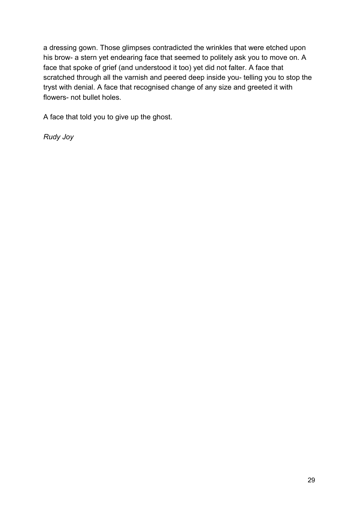a dressing gown. Those glimpses contradicted the wrinkles that were etched upon his brow- a stern yet endearing face that seemed to politely ask you to move on. A face that spoke of grief (and understood it too) yet did not falter. A face that scratched through all the varnish and peered deep inside you- telling you to stop the tryst with denial. A face that recognised change of any size and greeted it with flowers- not bullet holes.

A face that told you to give up the ghost.

*Rudy Joy*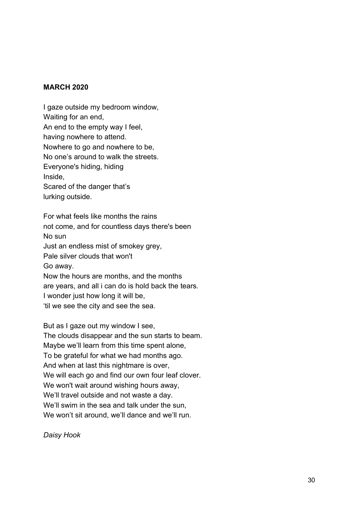#### **MARCH 2020**

I gaze outside my bedroom window, Waiting for an end, An end to the empty way I feel, having nowhere to attend. Nowhere to go and nowhere to be, No one's around to walk the streets. Everyone's hiding, hiding Inside, Scared of the danger that's lurking outside. For what feels like months the rains not come, and for countless days there's been No sun

Just an endless mist of smokey grey,

Pale silver clouds that won't

Go away.

Now the hours are months, and the months are years, and all i can do is hold back the tears.

I wonder just how long it will be,

'til we see the city and see the sea.

But as I gaze out my window I see, The clouds disappear and the sun starts to beam. Maybe we'll learn from this time spent alone, To be grateful for what we had months ago. And when at last this nightmare is over, We will each go and find our own four leaf clover. We won't wait around wishing hours away, We'll travel outside and not waste a day. We'll swim in the sea and talk under the sun. We won't sit around, we'll dance and we'll run.

*Daisy Hook*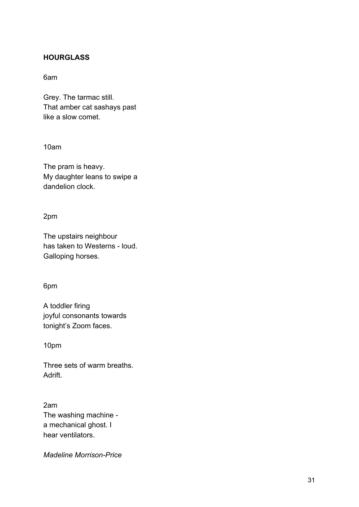## **HOURGLASS**

6am

Grey. The tarmac still. That amber cat sashays past like a slow comet.

10am

The pram is heavy. My daughter leans to swipe a dandelion clock.

#### 2pm

The upstairs neighbour has taken to Westerns - loud. Galloping horses.

6pm

A toddler firing joyful consonants towards tonight's Zoom faces.

10pm

Three sets of warm breaths. Adrift.

2am The washing machine a mechanical ghost. I hear ventilators.

*Madeline Morrison-Price*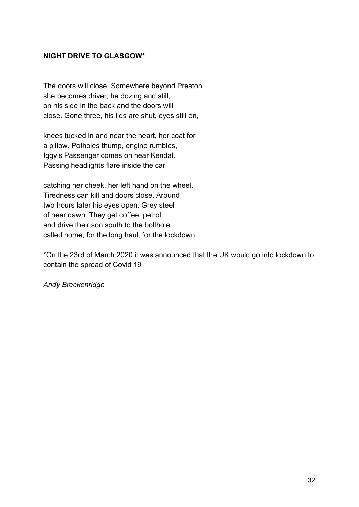## **NIGHT DRIVE TO GLASGOW\***

The doors will close. Somewhere beyond Preston she becomes driver, he dozing and still, on his side in the back and the doors will close. Gone three, his lids are shut, eyes still on,

knees tucked in and near the heart, her coat for a pillow. Potholes thump, engine rumbles, Iggy's Passenger comes on near Kendal. Passing headlights flare inside the car,

catching her cheek, her left hand on the wheel. Tiredness can kill and doors close. Around two hours later his eyes open. Grey steel of near dawn. They get coffee, petrol and drive their son south to the bolthole called home, for the long haul, for the lockdown.

\*On the 23rd of March 2020 it was announced that the UK would go into lockdown to contain the spread of Covid 19

*Andy Breckenridge*